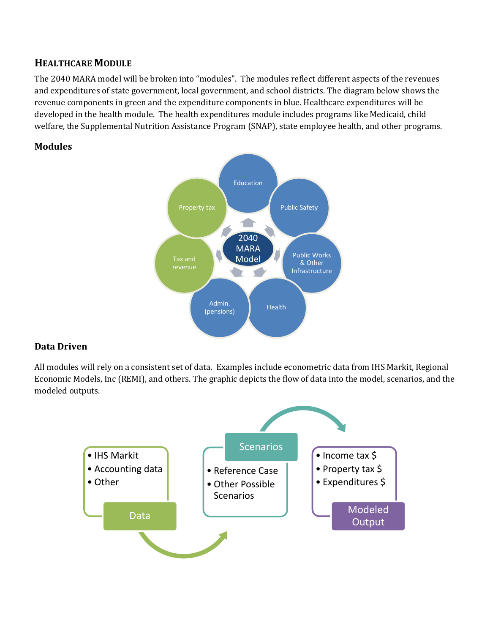# **HEALTHCARE MODULE**

The 2040 MARA model will be broken into "modules". The modules reflect different aspects of the revenues and expenditures of state government, local government, and school districts. The diagram below shows the revenue components in green and the expenditure components in blue. Healthcare expenditures will be developed in the health module. The health expenditures module includes programs like Medicaid, child welfare, the Supplemental Nutrition Assistance Program (SNAP), state employee health, and other programs.

### **Modules**



## **Data Driven**

All modules will rely on a consistent set of data. Examples include econometric data from IHS Markit, Regional Economic Models, Inc (REMI), and others. The graphic depicts the flow of data into the model, scenarios, and the modeled outputs.